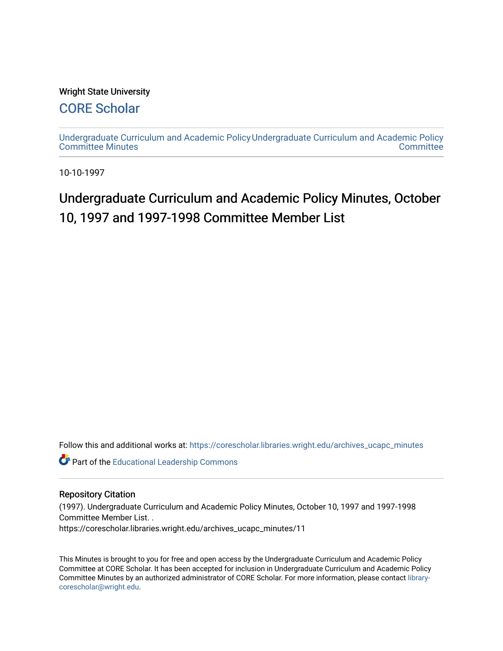#### Wright State University

### [CORE Scholar](https://corescholar.libraries.wright.edu/)

[Undergraduate Curriculum and Academic Policy](https://corescholar.libraries.wright.edu/archives_ucapc_minutes) [Undergraduate Curriculum and Academic Policy](https://corescholar.libraries.wright.edu/archives_ucapc)  [Committee Minutes](https://corescholar.libraries.wright.edu/archives_ucapc_minutes) **Committee** 

10-10-1997

## Undergraduate Curriculum and Academic Policy Minutes, October 10, 1997 and 1997-1998 Committee Member List

Follow this and additional works at: [https://corescholar.libraries.wright.edu/archives\\_ucapc\\_minutes](https://corescholar.libraries.wright.edu/archives_ucapc_minutes?utm_source=corescholar.libraries.wright.edu%2Farchives_ucapc_minutes%2F11&utm_medium=PDF&utm_campaign=PDFCoverPages) 

Part of the [Educational Leadership Commons](http://network.bepress.com/hgg/discipline/1230?utm_source=corescholar.libraries.wright.edu%2Farchives_ucapc_minutes%2F11&utm_medium=PDF&utm_campaign=PDFCoverPages) 

#### Repository Citation

(1997). Undergraduate Curriculum and Academic Policy Minutes, October 10, 1997 and 1997-1998 Committee Member List. .

https://corescholar.libraries.wright.edu/archives\_ucapc\_minutes/11

This Minutes is brought to you for free and open access by the Undergraduate Curriculum and Academic Policy Committee at CORE Scholar. It has been accepted for inclusion in Undergraduate Curriculum and Academic Policy Committee Minutes by an authorized administrator of CORE Scholar. For more information, please contact [library](mailto:library-corescholar@wright.edu)[corescholar@wright.edu](mailto:library-corescholar@wright.edu).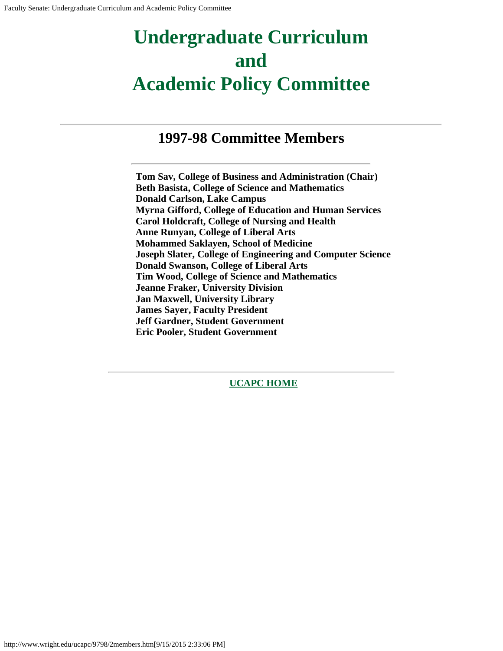# **Undergraduate Curriculum and Academic Policy Committee**

## **1997-98 Committee Members**

**Tom Sav, College of Business and Administration (Chair) Beth Basista, College of Science and Mathematics Donald Carlson, Lake Campus Myrna Gifford, College of Education and Human Services Carol Holdcraft, College of Nursing and Health Anne Runyan, College of Liberal Arts Mohammed Saklayen, School of Medicine Joseph Slater, College of Engineering and Computer Science Donald Swanson, College of Liberal Arts Tim Wood, College of Science and Mathematics Jeanne Fraker, University Division Jan Maxwell, University Library James Sayer, Faculty President Jeff Gardner, Student Government Eric Pooler, Student Government**

**[UCAPC HOME](http://www.wright.edu/ucapc/index.htm)**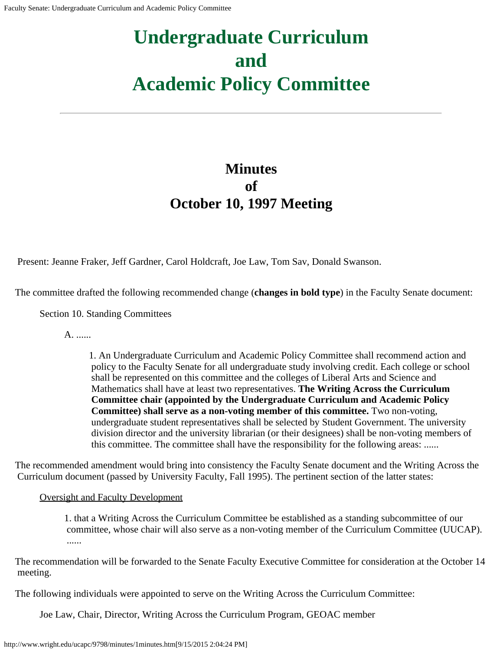# **Undergraduate Curriculum and Academic Policy Committee**

## **Minutes of October 10, 1997 Meeting**

Present: Jeanne Fraker, Jeff Gardner, Carol Holdcraft, Joe Law, Tom Sav, Donald Swanson.

The committee drafted the following recommended change (**changes in bold type**) in the Faculty Senate document:

Section 10. Standing Committees

A. ......

1. An Undergraduate Curriculum and Academic Policy Committee shall recommend action and policy to the Faculty Senate for all undergraduate study involving credit. Each college or school shall be represented on this committee and the colleges of Liberal Arts and Science and Mathematics shall have at least two representatives. **The Writing Across the Curriculum Committee chair (appointed by the Undergraduate Curriculum and Academic Policy Committee) shall serve as a non-voting member of this committee.** Two non-voting, undergraduate student representatives shall be selected by Student Government. The university division director and the university librarian (or their designees) shall be non-voting members of this committee. The committee shall have the responsibility for the following areas: ......

The recommended amendment would bring into consistency the Faculty Senate document and the Writing Across the Curriculum document (passed by University Faculty, Fall 1995). The pertinent section of the latter states:

Oversight and Faculty Development

1. that a Writing Across the Curriculum Committee be established as a standing subcommittee of our committee, whose chair will also serve as a non-voting member of the Curriculum Committee (UUCAP). ......

The recommendation will be forwarded to the Senate Faculty Executive Committee for consideration at the October 14 meeting.

The following individuals were appointed to serve on the Writing Across the Curriculum Committee:

Joe Law, Chair, Director, Writing Across the Curriculum Program, GEOAC member